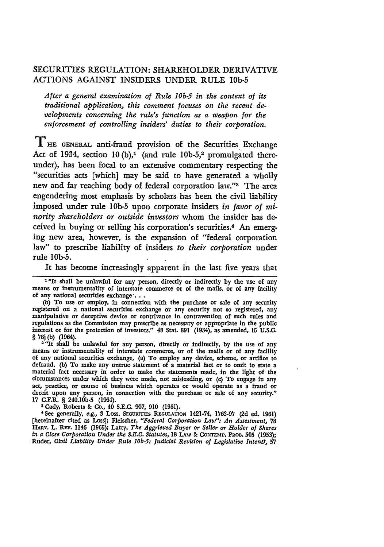# SECURITIES REGULATION: SHAREHOLDER DERIVATIVE ACTIONS AGAINST INSIDERS **UNDER** RULE **lOb-5**

*After a general examination of Rule* **10b-5** *in the context of its traditional application, this comment focuses on the recent developments concerning the rule's function as a weapon for the enforcement of controlling insiders' duties to their corporation.*

THE **GENERAL** anti-fraud provision of the Securities Exchange Act of **1934,** section **10 (b),1** (and rule **lOb-5, <sup>2</sup>**promulgated thereunder), has been focal to an extensive commentary respecting the "securities acts [which] may be said to have generated a wholly new and far reaching body of federal corporation law."3 The area engendering most emphasis **by** scholars has been the civil liability imposed under rule **1Ob-5** upon corporate insiders *in favor of minority shareholders or outside investors* whom the insider has deceived in buying or selling his corporation's securities.<sup>4</sup> An emerging new area, however, is the expansion of "federal corporation law" to prescribe liability of insiders *to their corporation* under rule **lOb-5.**

It has become increasingly apparent in the last five years that

<sup>1</sup>"It shall be unlawful for any person, directly or indirectly by the use of any means or instrumentality of interstate commerce or of the mails, or of any facility of any national securities exchange .

**(b)** To use or employ, in connection with the purchase or sale of any security registered on a national securities exchange or any security not so registered, any registered on a national securities exchange or any security not so registered, any manipulative or deceptive device or contrivance in contravention of such rules and regulations as the Commission may prescribe as necessary or appropriate in the public interest or for the protection of investors." 48 Stat. **891** (1934), as amended, **15 U.S.C.** § **78j(b)** (1964).

<sup>2</sup> "It shall be unlawful for any person, directly or indirectly, by the use of any means or instrumentality of interstate commerce, or of the mails or of any facility of any national securities exchange, (a) To employ any defraud, **(b)** To make any untrue statement **of** a material fact or to omit to state a material fact necessary in order to make the statements made, in the light of the circumstances under which they were made, not misleading, or (c) To engage in any act, practice, or course of business which operates or would operate as a fraud or deceit upon any person, in connection with the purchase or sale of any security." deceit upon any person, in connection with the purchase or sale of any security."<br>17 C.F.R. § 240.10b-5 (1964).

**3** Cady, Roberts & Co., 40 **S.E.C. 907, 910 (1961).**

'See generally, e.g., **3** Loss, SEcuRrrms **REGULATION** 1421-74, **1763-97 (2d ed. 1961)** [hereinafter cited as Loss]; Fleischer, *"Federal Corporation Law": An Assessment,* **78** HAIv. L. REv. 1146 **(1965);** Latty, *The Aggrieved Buyer or Seller or Holder of Shares in a Close Corporation Under the S.E.C. Statutes,* 18 LAW & **CONTzMP. PROB. 505 (1953);** Ruder, *Civil Liability Under Rule lOb-5: Judicial Revision of Legislative Intent?,* **57**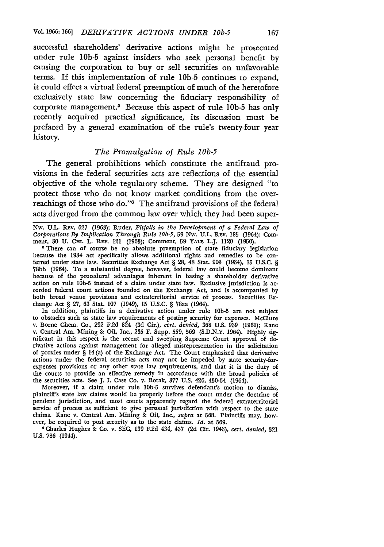successful shareholders' derivative actions might be prosecuted under rule **1Ob-5** against insiders who seek personal benefit **by** causing the corporation to buy or sell securities on unfavorable terms. If this implementation of rule **1Ob-5** continues to expand, it could effect a virtual federal preemption of much of the heretofore exclusively state law concerning the fiduciary responsibility of corporate management. 5 Because this aspect of rule **lOb-5** has only recently acquired practical significance, its discussion must be prefaced **by** a general examination of the rule's twenty-four year history.

### *The Promulgation of Rule* **10b-5**

The general prohibitions which constitute the antifraud provisions in the federal securities acts are reflections of the essential objective of the whole regulatory scheme. They are designed "to protect those who do not know market conditions from the overreachings of those who do."6 The antifraud provisions of the federal acts diverged from the common law over which they had been super-

**Nw. U.L.** REv. **627 (1963);** Ruder, *Pitfalls in the Development of a Federal Law of Corporations* **By** *Implication Through Rule 10b-5,* **59 Nw. U.L.** REv. **185** (1964); Comment, 30 U. CHI. L. REV. 121 (1963); Comment, 59 YALE L.J. 1120 (1950).

<sup>5</sup>There can of course be no absolute preemption of state fiduciary legislation because the 1934 act specifically allows additional rights and remedies to be conferred under state law. Securities Exchange Act **§ 28,** 48 Stat. **903** (1934), **15 U.S.C. § 78bb** (1964). To a substantial degree, however, federal law could become dominant because of the procedural advantages inherent in basing a shareholder derivative action on rule **lOb-5** instead of a claim under state law. Exclusive jurisdiction is accorded federal court actions founded on the Exchange Act, and is accompanied **by** both broad venue provisions and extraterritorial service of process. Securities Exchange Act **§ 27, 63** Stat. **107** (1949), **15 U.S.C. §** 78aa (1964).

In addition, plaintiffs in a derivative action under rule **lOb-5** are not subject to obstacles such as state **law** requirements of posting security for expenses. McClure v. Borne Chem. Co., **292 F.2d** 824 **(3d** Cir.), *cert. denied,* **368 U.S. 939 (1961);** Kane v. Central Am. Mining **&** Oil, Inc., **235** F. Supp. **559, 569 (S.D.N.Y.** 1964). **Highly** significant in this respect is the recent and sweeping Supreme Court approval of derivative actions against management for alleged misrepresentation in the solicitation of proxies under **§** 14(a) of the Exchange Act. The Court emphasized that derivative actions under the federal securities acts may not be impeded **by** state security-forexpenses provisions or any other state law requirements, and that it is the duty of the courts to provide an effective remedy in accordance with the broad policies of the securities acts. See **J.** I. Case Co. v. Borak, **377 U.S.** 426, 430-34 (1964).

Moreover, if a claim under rule 10b-5 survives defendant's motion to dismiss, plaintiff's state law claims would be properly before the court under the doctrine of pendent jurisdiction, and most courts apparently regard the federal extraterritorial service of process as sufficient to give personal jurisdiction with respect to the state claims. Kane v. Central Am. Mining **&** Oil, Inc., *supra* at **568.** Plaintiffs may, **how**ever, **be** required to post security as to the state claims. *Id.* at **569.**

**1** Charles Hughes **&** Co. v. **SEC, 139 F.2d** 434, 437 **(2d** Cir. 1943), *cert. denied,* 321 **U.S. 786** (1944).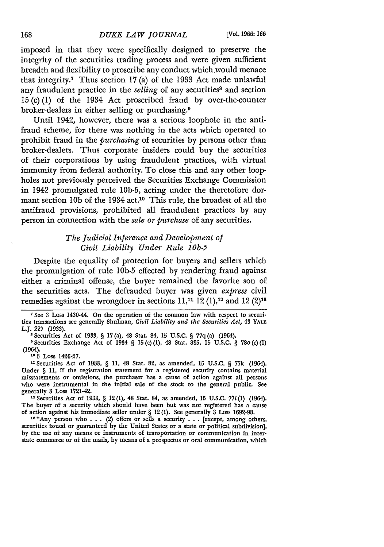imposed in that they were specifically designed to preserve the integrity of the securities trading process and were given sufficient breadth and flexibility to proscribe any conduct which .would menace that integrity7 Thus section **17** (a) of the 1933 Act made unlawful any fraudulent practice in the *selling* of any securities<sup>8</sup> and section **15** (c) **(1)** of the 1934 Act proscribed fraud **by** over-the-counter broker-dealers in either selling or purchasing.<sup>9</sup>

Until 1942, however, there was a serious loophole in the antifraud scheme, for there was nothing in the acts which operated to prohibit fraud in the *purchasing* of securities **by** persons other than broker-dealers. Thus corporate insiders could buy the securities of their corporations **by** using fraudulent practices, with virtual immunity from federal authority. To close this and any other loopholes not previously perceived the Securities Exchange Commission in 1942 promulgated rule **1Ob-5,** acting under the theretofore dormant section **10b** of the 1934 act.10 This rule, the broadest of all the antifraud provisions, prohibited all fraudulent practices by any person in connection with the *sale or purchase* of any securities.

# *The Judicial Inference and Development of Civil Liability Under Rule lOb-5*

Despite the equality of protection for buyers and sellers which the promulgation of rule **lOb-5** effected by rendering fraud against either a criminal offense, the buyer remained the favorite son of the securities acts. The defrauded buyer was given *express* civil remedies against the wrongdoer in sections  $11<sup>11</sup>12(1)<sup>12</sup>$  and  $12(2)<sup>13</sup>$ 

**<sup>10</sup>**3 Loss 1426-27.

**11** Securities Act of 1933, § 11, 48 Stat. 82, as amended, **15** U.S.C. § 77k (1964). Under § 11, if the registration statement for a registered security contains material misstatements or omissions, the purchaser has a cause of action against all persons who were instrumental in the initial sale of the stock to the general public. **See** generally 3 Loss 1721-42.

**<sup>12</sup>**Securities Act of 1933, § 12 (1), 48 Stat. 84, as amended, **15** U.S.C. 771(1) (1964). The buyer of a security which should have been but was not registered has a cause of action against his immediate seller under § 12 (1). See generally 3 Loss 1692-98.

13"Any person who **.**. . (2) offers or sells a security **. ..**[except, among others, securities issued or guaranteed by the United States or a state or political subdivision] by the use of any means or instruments of transportation or communication in interstate commerce or of the mails, by means of a prospectus or oral communication, which

**<sup>7</sup>** See 3 Loss 1430-44. On the operation of the common law with respect to securities transactions see generally Shulman, *Civil Liability and the Securities Act,* 43 YALE L.J. **227** (1933).

**<sup>8</sup>** Securities Act of 1933, § 17 (a), 48 Stat. 84, **15** U.S.C. § **77q** (a) (1964).

**<sup>9</sup>** Securities Exchange Act of 1934 § **15** (c) (1), 48 Stat. 895, **15** U.S.C. § 78o (c) **(1)** (1964).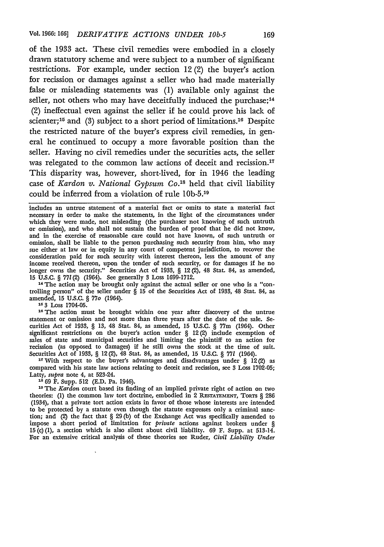of the **1933** act. These civil remedies were embodied in a closely drawn statutory scheme and were subject to a number of significant restrictions. For example, under section 12 (2) the buyer's action for recission or damages against a seller who had made materially false or misleading statements was **(1)** available only against the seller, not others who may have deceitfully induced the purchase;<sup>14</sup> (2) ineffectual even against the seller if he could prove his lack of scienter;<sup>15</sup> and (3) subject to a short period of limitations.<sup>16</sup> Despite the restricted nature of the buyer's express civil remedies, in general he continued to occupy a more favorable position than the seller. Having no civil remedies under the securities acts, the seller was relegated to the common law actions of deceit and recission.<sup>17</sup> This disparity was, however, short-lived, for in 1946 the leading case of *Kardon v. National Gypsum Co.'8* held that civil liability could be inferred from a violation of rule **lOb-5.19**

includes an untrue statement of a material fact or omits to state a material fact necessary in order to make the statements, in the light of the circumstances under which they were made, not misleading (the purchaser not knowing of such untruth or omission), and who shall not sustain the burden of proof that he did not know, and in the exercise of reasonable care could not have known, of such untruth or omission, shall be liable to the person purchasing such security from him, who may sue either at law or in equity in any court of competent jurisdiction, to recover the consideration paid for such security with interest thereon, less the amount of any income received thereon, upon the tender of such security, or for damages if he no longer owns the security." Securities Act of **1933,** § 12 (2), 48 Stat. 84, as amended, **15 U.S.C.** § *771* **(2)** (1964). See generally **3** Loss **1699-1712.**

<sup>14</sup> The action may be brought only against the actual seller or one who is a "controlling person" of the seller under § **15** of the Securities Act of **1933,** 48 Stat. 84, as amended, **15 U.S.C.** § **77o** (1964). **15 3** Loss 1704-05.

<sup>15</sup> <sup>3</sup> Loss 1704-05.<br><sup>16</sup> The action must be brought within one year after discovery of the untrue statement or omission and not more than three years after the date of the sale. Securities Act of **1933,** § **13,** 48 Stat. 84, as amended, **15 U.S.C.** § 77m (1964). Other significant restrictions on the buyer's action under § 12(2) include exemption of sales of state and municipal securities and limiting the plaintiff to an action for recission (as opposed to damages) if he still owns the stock at the time of suit. Securities Act of **1933,** § 12(2), 48 Stat. 84, as amended, **15 U.S.C.** § **771** (1964).

**<sup>17</sup>**With respect to the buyer's advantages and disadvantages under § 12(2) as compared with his state law actions relating to deceit and recission, see **3** Loss **1702-05;** Latty, supra note 4, at 523-24.

**18** 69 F. Supp. **512** (E.D. Pa. 1946).

**10 The** *Kardon* court based its finding of an implied private right of action on two theories: (1) the common law tort doctrine, embodied in 2 RESTATEMENT, **TORTS** § 286 (1934), that a private tort action exists in favor of those whose interests are intended to **be** protected by a statute even though the statute expresses only a criminal sanction; and (2) the fact that § 29 (b) of the Exchange Act was specifically amended to impose a short period of limitation for *private* actions against brokers under § **15** (c) (1), a section which is also silent about civil liability. 69 F. Supp. at 513-14. For an extensive critical analysis of these theories see Ruder, *Civil Liability Under*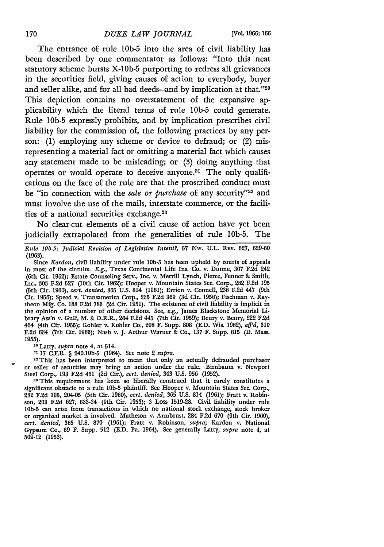The entrance of rule 1Ob-5 into the area of civil liability has been described by one commentator as follows: "Into this neat statutory scheme bursts X-10b-5 purporting to redress all grievances in the securities field, giving causes of action to everybody, buyer and seller alike, and for all bad deeds-and by implication at that."20 This depiction contains no overstatement of the expansive applicability which the literal terms of rule 1Ob-5 could generate. Rule **lOb-5** expressly prohibits, and by implication prescribes civil liability for the commission of, the following practices by any person: (1) employing any scheme or device to defraud; or (2) misrepresenting a material fact or omitting a material fact which causes any statement made to be misleading; or **(3)** doing anything that operates or would operate to deceive anyone.21 The only qualifications on the face of the rule are that the proscribed conduct must be "in connection with the *sale or purchase* of any security"<sup>22</sup> and must involve the use of the mails, interstate commerce, or the facilities of a national securities exchange.<sup>23</sup>

No clear-cut elements of a civil cause of action have yet been judicially extrapolated from the generalities of rule lOb-5. The

*Rule lOb-5: Judicial Revision of Legislative Intent?,* 57 Nw. U.L. **REv.** 627, 629-60 (1963).

20 Latty, *supra* note 4, at 514.

- **17** C.F.R. § 240.10b-5 (1964). See note 2 *supra.*

<sup>22</sup> This has been interpreted to mean that only an actually defrauded purchaser or seller of securities may bring an action under the rule. Birnbaum v. Newport Steel Corp., **193** F.2d 461 **(2d** Cir.), *cert. denied,* 343 **U.S. 956 (1952).**

<sup>23</sup> This requirement has been so liberally construed that it rarely constitutes a significant obstacle to a rule **lob-5** plaintiff. See Hooper v. Mountain States Sec. Corp., 282 F.2d 195, 204-05 (5th Cir. 1960), *cert. denied,* **365** U.S. 814 **(1961);** Fratt v. Robinson, 203 **F.2d 627, 633-34** (9th Cir. **1953); 3** Loss **1519-28.** Civil liability under rule **lOb-5** can arise from transactions in which no national stock exchange, stock broker or organized market is involved. Matheson v. Armbrust, 284 **F.2d 670** (9th Cir. **1960),** *cert. denied,* **365 U.S. 870 (1961);** Fratt v. Robinson, *supra;* Kardon v. National Gypsum Co., **69** F. Supp. **512 (E.D.** Pa. 1964). See generally Latty, *supra* note 4, at **509-12 (1953).**

Since *Kardon,* civil liability under rule **10b-5** has been upheld by courts of appeals in most of the circuits. *E.g.,* Texas Continental Life Ins. Co. v. Dunne, 307 F.2d 242 (6th Cir. 1962); Estate Counseling Serv., Inc. v. Merrill Lynch, Pierce, Fenner **&** Smith, Inc., **303** F.2d 527 (10th Cir. 1962); Hooper v. Mountain States Sec. Corp., 282 F.2d 195 (5th Cir. 1960), *cert. denied,* **365** U.S. 814 (1961); Errion v. Connell, 236 F.2d 447 (9th Cir. 1956); Speed v. Transamerica Corp., **235** F.2d **369** (3d Cir. 1956); Fischman v. Raytheon Mfg. Co. 188 F.2d 783 (2d Cir. 1951). The existence of civil liability is implicit in the opinion of a number of other decisions. See, *e.g.,* James Blackstone Memorial **Li.** brary Ass'n v. Gulf, M. **&** O.R.R., 264 F.2d 445 (7th Cir. 1959); Beury v. Beury, 222 F.2d 464 (4th Cir. 1955); Kohler v. Kohler Co., 208 F. Supp. 808 (E.D. Wis. 1962), *afJ'd,* **319** F.2d 634 (7th Cir. 1963); Nash v. J. Arthur Warner **8:** Co., 137 F. Supp. **615** (D. Mass. 1955).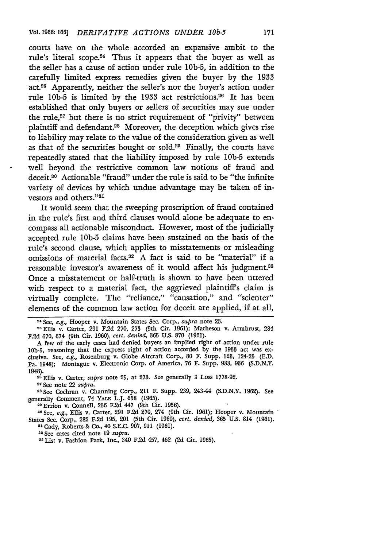courts have on the whole accorded an expansive ambit to the rule's literal scope.24 Thus it appears that the buyer as well as the seller has a cause of action under rule 10b-5, in addition to the carefully limited express remedies given the buyer by the 1933 act.<sup>25</sup> Apparently, neither the seller's nor the buyer's action under rule **lOb-5** is limited by the 1933 act restrictions.26 It has been established that only buyers or sellers of securities may sue under the rule,<sup>27</sup> but there is no strict requirement of "privity" between plaintiff and defendant.28 Moreover, the deception which gives rise to liability may relate to the value of the consideration given as well as that of the securities bought or sold.29 Finally, the courts have repeatedly stated that the liability imposed by rule 1Ob-5 extends well beyond the restrictive common law notions of fraud and deceit.80 Actionable "fraud" under the rule is said to be "the infinite variety of devices by which undue advantage may be taken of investors and others."<sup>31</sup>

It would seem that the sweeping proscription of fraud contained in the rule's first and third clauses would alone be adequate to en. compass all actionable misconduct. However, most of the judicially accepted rule **lOb-5** claims have been sustained on the basis of the rule's second clause, which applies to misstatements or misleading omissions of material facts.<sup>32</sup> A fact is said to be "material" if a reasonable investor's awareness of it would affect his judgment.<sup>33</sup> Once a misstatement or half-truth is shown to have been uttered with respect to a material fact, the aggrieved plaintiff's claim is virtually complete. The "reliance," "causation," and "scienter" elements of the common law action for deceit are applied, if at all,

<sup>27</sup> See note 22 *supra*.

**2 See** Cochran v. Channing Corp., 211 F. Supp. 239, 243-44 **(S.D.N.Y. 1962).** See generally Comment, 74 **YALE** L.J. **658 (1965).**

"DErrion v. Connell, **236 F.2d** 447 (9th Cir. **1956).**

3 <sup>0</sup> See, *e.g.,* Ellis v. Carter, **291 F.2d 270,** 274 (9th Cir. **1961);** Hooper v. Mountain States Sec. Corp., **282 F.2d 195,** 201 (5th Cir. **1960),** *cert. denied,* **365 U.S.** 814 (1961). **"1** Cady, Roberts **&** Co., 40 **S.E.C. 907, 911** (1961).

**<sup>2</sup>**See cases cited note **19** *supra.*

<sup>33</sup> List v. Fashion Park, Inc., 340 F.2d 457, 462 (2d Cir. 1965).

**<sup>24</sup>**See, *e.g.,* Hooper v. Mountain States Sec. Corp., *supra* note **23.**

**<sup>25</sup>**Ellis v. Carter, 291 **F.2d 270, 273** (9th Cir. 1961); Matheson v. Armbrust, 284 **F.2d 670,** 674 (9th Cir. 1960), *cert. denied,* **365 U.S. 870 (1961).**

**A** few of the early cases had denied buyers an implied right of action under rule **lOb-5,** reasoning that the express right of action accorded **by** the **1933** act was exclusive. See, e.g., Rosenburg v. Globe Aircraft Corp., **80** F. Supp. 123, 124-25 **(E.D.** Pa. 1948); Montague v. Electronic Corp. of America, **76** F. Supp. 933, **936 (S.D.N.Y.** 1948). **20 Ellis** v. Carter, *supra* note **25,** at **273.** See generally 3 Loss **1778-92.**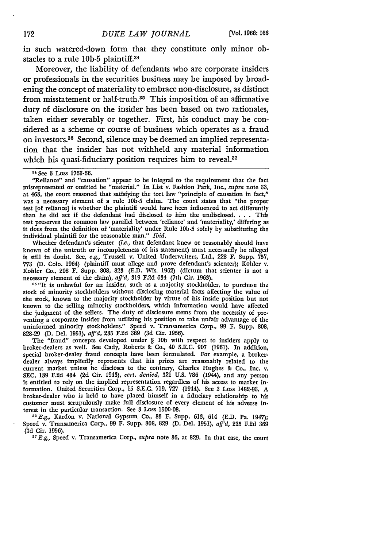in such watered-down form that they constitute only minor obstacles to a rule **lOb-5** plaintiff.34

Moreover, the liability of defendants who are corporate insiders or professionals in the securities business may be imposed by broadening the concept of materiality to embrace non-disclosure, as distinct from misstatement or half-truth.<sup>35</sup> This imposition of an affirmative duty of disclosure on the insider has been based on two rationales, taken either severably or together. First, his conduct may be considered as a scheme or course of business which operates as a fraud on investors. 36 Second, silence may be deemed an implied representation that the insider has not withheld any material information which his quasi-fiduciary position requires him to reveal.<sup>37</sup>

Whether defendant's scienter (i.e., that defendant knew or reasonably should have known of the untruth or incompleteness of his statement) must necessarily **be** alleged is still in doubt. See, *e.g.,* Trussell v. United Underwriters, Ltd., **228** F. Supp. **757, <sup>773</sup>(D. Colo.** 1964) (plaintiff must allege and prove defendant's scienter); Kohler v. Kohler Co., **208** F. Supp. **808, 823 (E.D.** Wis. **1962)** (dictum that scienter is not a necessary element of the claim), *aff"d,* **319 F.2d 634** (7th Cir. **1963).**

<sup>35</sup> "It is unlawful for an insider, such as a majority stockholder, to purchase the stock of minority stockholders without disclosing material facts affecting the value of the stock, known to the majority stockholder **by** virtue of his inside position but not known to the selling minority stockholders, which information would have affected the judgment of the sellers. The duty of disclosure stems from the necessity of preventing a corporate insider from utilizing his position to take unfair advantage of the uninformed minority stockholders." Speed v. Transamerica Corp., **99** F. Supp. **808, 828-29 (D.** Del. **1951),** *af'd,* **235 F.2d 369** (3d Cir. **1956).**

The "fraud" concepts developed under § **10b** with respect to insiders apply to broker-dealers as well. See Cady, Roberts **&** Co., 40 **S.E.C. 907 (1961).** In addition, special broker-dealer fraud concepts have been formulated. For example, a brokerdealer always impliedly represents that his prices are reasonably related to the current market unless he discloses to the contrary, Charles Hughes **&** Co., Inc. v. **SEC, 189 F.2d** 434 **(2d** Cir. 1943), *cert. denied,* **321 U.S. 786** (1944), and any person is entitled to rely on the implied representation regardless of his access to market information. United Securities Corp., **15 S.E.C. 719, 727** (1944). See **3** Loss **1482-93. A** broker-dealer who is held to have placed himself in a fiduciary relationship to his customer must scrupulously make full disclosure of every element of his adverse **in.** terest in the particular transaction. See **3** Loss **1500-08.**

*"0E.g.,* Kardon v. National Gypsum Co., **83** F. Supp. **613,** 614 **(E.D.** Pa. 1947); Speed v. Transamerica Corp., **99** F. Supp. **808, 829 (D.** Del. **1951),** *aff'd,* **235 F.2d <sup>369</sup> (3d** Cir. **1956).**

**<sup>37</sup>***E.g.,* **Speed** v. Transamerica Corp., *supra* note **36,** at **829.** In that case, the court

**<sup>31</sup>**See **3** Loss **1763-66.**

<sup>&</sup>quot;Reliance" and "causation" appear to be integral to the requirement that the fact misrepresented or omitted **be** "material." In List v. Fashion Park, Inc., *supra* note **33,** at 463, the court reasoned that satisfying the tort law "principle of causation in fact," was a necessary element of a rule **lOb-5** claim. The court states that "the proper test [of reliance] is whether the plaintiff would have been influenced to act differently than he did act if the defendant had disclosed to him the undisclosed. . **.** . This test preserves the common law parallel between 'reliance' and 'materiality,' differing as it does from the definition of 'materiality' under Rule **lOb-5** solely **by** substituting the individual plaintiff for the reasonable man." *Ibid.*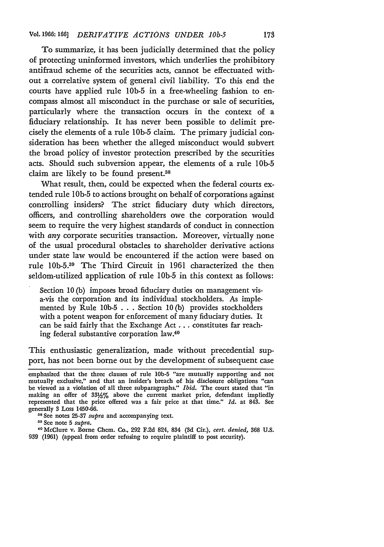To summarize, it has been judicially determined that the policy of protecting uninformed investors, which underlies the prohibitory antifraud scheme of the securities acts, cannot be effectuated without a correlative system of general civil liability. To this end the courts have applied rule 1Ob-5 in a free-wheeling fashion to encompass almost all misconduct in the purchase or sale of securities, particularly where the transaction occurs in the context of a fiduciary relationship. It has never been possible to delimit precisely the elements of a rule **lOb-5** claim. The primary judicial consideration has been whether the alleged misconduct would subvert the broad policy of investor protection prescribed by the securities acts. Should such subversion appear, the elements of a rule 1Ob-5 claim are likely to be found present.38

What result, then, could be expected when the federal courts extended rule **1Ob-5** to actions brought on behalf of corporations against controlling insiders? The strict fiduciary duty which directors, officers, and controlling shareholders owe the corporation would seem to require the very highest standards of conduct in connection with *any* corporate securities transaction. Moreover, virtually none of the usual procedural obstacles to shareholder derivative actions under state law would be encountered if the action were based on rule lOb-5.39 The Third Circuit in 1961 characterized the then seldom-utilized application of rule 1Ob-5 in this context as follows:

Section 10 (b) imposes broad fiduciary duties on management visa-vis the corporation and its individual stockholders. As implemented by Rule **lOb-5 . . .** Section 10 (b) provides stockholders with a potent weapon for enforcement of many fiduciary duties. It can be said fairly that the Exchange Act **...** constitutes far reaching federal substantive corporation law. <sup>40</sup>

This enthusiastic generalization, made without precedential support, has not been borne out by the development of subsequent case

emphasized that the three clauses of rule **lOb-5** "are mutually supporting and not mutually exclusive," and that an insider's breach of his disclosure obligations "can be viewed as a violation of all three subparagraphs." *Ibid.* The court stated that "in making an offer of **331%** above the current market price, defendant impliedly represented that the price offered was a fair price at that time." *Id.* at 843. See generally 8 Loss 1450-66.

**<sup>08</sup>See** notes **25-37** *supra* and accompanying text.

**<sup>30</sup>**See note **5** *supra.*

**<sup>,0</sup>** McClure v. Borne Chem. Co., **292** F.2d 824, 834 **(3d** Cir.), *cert. denied,* **368** U.S. **939** (1961) (appeal from order refusing to require plaintiff to post security).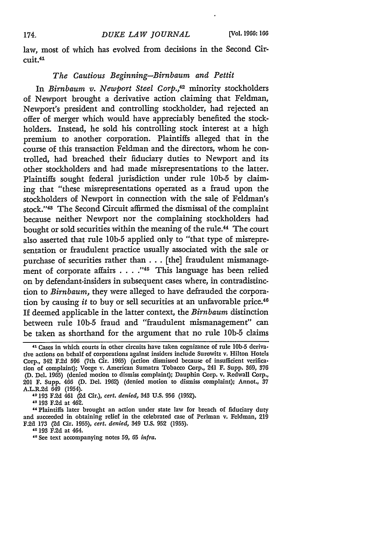law, most of which has evolved from decisions in the Second Circuit.<sup>41</sup>

### *The Cautious Beginning-Birnbaum and Pettit*

In *Birnbaum v. Newport Steel Corp.,42* minority stockholders of Newport brought a derivative action claiming that Feldman, Newport's president and controlling stockholder, had rejected an offer of merger which would have appreciably benefited the stockholders. Instead, he sold his controlling stock interest at a high premium to another corporation. Plaintiffs alleged that in the course of this transaction Feldman and the directors, whom he controlled, had breached their fiduciary duties to Newport and its other stockholders and had made misrepresentations to the latter. Plaintiffs sought federal jurisdiction under rule **lOb-5** by claiming that "these misrepresentations operated as a fraud upon the stockholders of Newport in connection with the sale of Feldman's stock." 43 The Second Circuit affirmed the dismissal of the complaint because neither Newport nor the complaining stockholders had bought or sold securities within the meaning of the rule.44 The court also asserted that rule **lOb-5** applied only to "that type of misrepresentation or fraudulent practice usually associated with the sale or purchase of securities rather than ... [the] fraudulent mismanagement of corporate affairs . . . .<sup>145</sup> This language has been relied on by defendant-insiders in subsequent cases where, in contradistinction to *Birnbaum,* they were alleged to have defrauded the corporation by causing *it* to buy or sell securities at an unfavorable price.<sup>40</sup> If deemed applicable in the latter context, the *Birnbaum* distinction between rule **lOb-5** fraud and "fraudulent mismanagement" can be taken as shorthand for the argument that no rule 1Ob-5 claims

**"193** F.2d at 462.

"Plaintiffs later brought an action under state law for breach of fiduciary duty and succeeded in obtaining relief in the celebrated case of Perlman v. Feldman, 219 F.2d **173 (2d** Cir. **1955),** *cert. denied,* 349 **U.S. 952 (1955).**

" 193 F.2d at 464.

**<sup>1&</sup>quot;** Cases in which courts in other circuits have taken cognizance of rule **lOb-5** derivative actions on behalf of corporations against insiders include Surowitz v. Hilton Hotels Corp., 342 **F.2d 596** (7th Cir. **1965)** (action dismissed because of insufficient verification of complaint); Voege v. American Sumatra Tobacco Corp., 241 F. Supp. **369, 376 (D.** Del. **1965)** (denied motion to dismiss complaint); Dauphin Corp. v. Redwall Corp., 201 F. Supp. 466 **(D.** Del. **1962)** (denied motion to dismiss complaint); Annot., **37** A.L.R.2d 649 (1954).

**<sup>12193</sup> F.2d** 461 (2d Cir.), *cert. denied,* 343 **U.S. 956 (1952).**

**<sup>&</sup>quot;0** See text accompanying notes **59, 65** *infra.*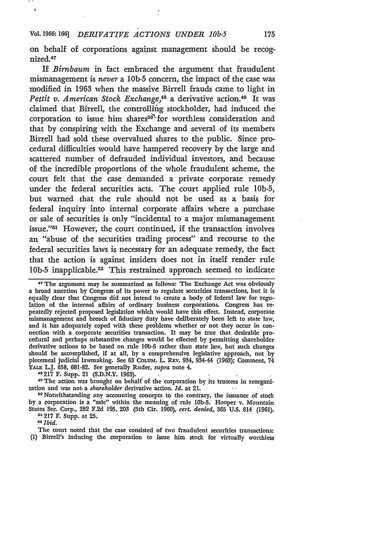### Vol. 1966: *166 DERIVATIVE ACTIONS UNDER 10b-5*

Ń

on behalf of corporations against management should be recognized.<sup>47</sup>

If *Birnbaum* in fact embraced the argument that fraudulent mismanagement is *never* a 1Ob-5 concern, the impact of the case was modified in 1963 when the massive Birrell frauds came to light in *Pettit v. American Stock Exchange*,<sup>48</sup> a derivative action.<sup>49</sup> It was claimed that Birrell, the controlling stockholder, had induced the corporation to issue him shares $56^{\circ}$  for worthless consideration and that by conspiring with the Exchange and several of its members Birrell had sold these overvalued shares to the public. Since procedural difficulties would have hampered recovery by the large and scattered number of defrauded individual investors, and because of the incredible proportions of the whole fraudulent scheme, the court felt that the case demanded a private corporate remedy under the federal securities acts. The court applied rule 1Ob-5, but warned that the rule should not be used as a basis for federal inquiry into internal corporate affairs where a purchase or sale of securities is only "incidental to a major mismanagement issue."<sup>51</sup> However, the court continued, if the transaction involves an "abuse of the securities trading process" and recourse to the federal securities laws is necessary for an adequate remedy, the fact that the action is against insiders does not in itself render rule 10b-5 inapplicable.<sup>52</sup> This restrained approach seemed to indicate

**" The** argument may be summarized as follows: The Exchange Act was obviously a broad assertion by Congress of its power to regulate securities transactions, but it is equally clear that Congress did not intend to create a body of federal law for regulation of the internal affairs of ordinary business corporations. Congress has repeatedly rejected proposed legislation which would have this effect. Instead, corporate mismanagement and breach of fiduciary duty have deliberately been left to state law, and it has adequately coped with these problems whether or not they occur in connection with a corporate securities transaction. It may be true that desirable procedural and perhaps substantive changes would be effected by permitting shareholder derivative actions to be based on rule **lOb-5** rather than state law, but such changes should be accomplished, if at all, by a comprehensive legislative approach, not by piecemeal judicial lawmaking. See **63** COLUm. L. REv. 934, 934-44 (1963); Comment, 74 YALE L.J. 658, 681-82. See generally Ruder, *supra* note 4.

**"8 217** F. Supp. 21 (S.D.N.Y. 1963).

<sup>40</sup> The action was brought on behalf of the corporation by its trustees in reorganization and was not-a *shareholder* derivative action. *Id.* at 21.

**1o** Notwithstanding any accounting concepts to the contrary, the issuance of stock by a corporation is a "sale" within the meaning of rule **lOb-5.** Hooper v. Mountain States Sec. Corp., **282 F.2d 195, 203** (5th Cir. 1960), *cert. denied,* **365 U.S.** 814 **(1961). "1217** F. Supp. at **25.**

2 *Ibid.*

The court noted that the case consisted of two fraudulent securities transactions: (1) Birrell's inducing the corporation to issue him stock for virtually worthless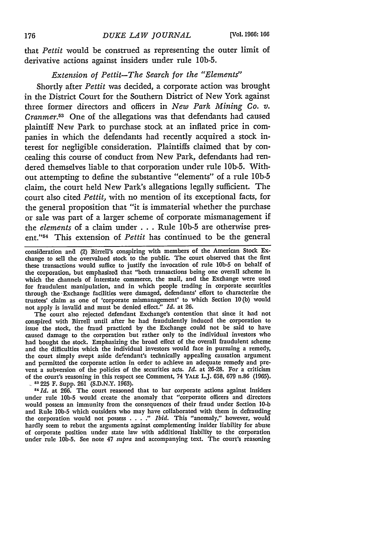that *Pettit* would be construed as representing the outer limit of derivative actions against insiders under rule lOb-5.

## *Extension of Pettit-The Search for the "Elements"*

Shortly after *Pettit* was decided, a corporate action was brought in the District Court for the Southern District of New York against three former directors and officers in *New Park Mining Co. v. Cranmer.53* One of the allegations was that defendants had caused plaintiff New Park to purchase stock at an inflated price in companies in which the defendants had recently acquired a stock interest for negligible consideration. Plaintiffs claimed that by concealing this course of conduct from New Park, defendants had rendered themselves liable to that corporation under rule lOb-5. Without attempting to define the substantive "elements" of a rule **lOb-5** claim, the court held New Park's allegations legally sufficient. The court also cited *Pettit,* with no mention of its exceptional facts, for the general proposition that "it is immaterial whether the purchase or sale was part of a larger scheme of corporate mismanagement if the *elements* of a claim under ..**.**Rule **lOb-5** are otherwise present."54 This extension of *Pettit* has continued to be the general

consideration ana (2) Birrell's conspiring with members of the American Stock Exchange to sell the overvalued stock to the public. The court observed that the first these transactions would suffice to justify the invocation of rule **lOb-5** on behalf of the corporation, but emphasized that "both transactions being one overall scheme in which the channels of interstate commerce, the mail, and the Exchange were used for fraudulent manipulation, and in which people trading in corporate securities through the-Exchange facilities were damaged, defendants' effort to characterize the trustees' claim as one of 'corporate mismanagement' to which Section 10(b) would not apply is invalid and must be denied effect." *Id.* at 26.

The court also rejected defendant Exchange's contention that since it **had** not conspired with Birrell until after he had fraudulently induced the corporation to issue the stock, the fraud practiced by the Exchange could not be said to have caused damage to the corporation but rather only to the individual investors who had bought the stock. Emphasizing the broad effect of the overall fraudulent scheme and the difficulties which the individual investors would face in pursuing a remedy, the court simply swept aside defendant's technically appealing causation argument and permitted the corporate action in order to achieve an adequate remedy and prevent a subversion of the policies of the securities acts. *Id.* at **26-28.** For a criticism of the court's reasoning in this respect see Comment, 74 **YALE** L.J. 658, 679 n.86 (1965).

<sup>53</sup> 225 F. Supp. 261 (S.D.N.Y. 1963).<br><sup>54</sup> Id. at 266. The court reasoned that to bar corporate actions against insiders under rule **lOb-5** would create the anomaly that "corporate officers and directors would possess an immunity from the consequences of their fraud under Section 10-b and Rule **lOb-5** which outsiders who may have collaborated with them in defrauding the corporation would not possess **......** *Ibid.* This "anomaly," however, would hardly seem to rebut the arguments against complementing insider liability for abuse of corporate position under state law with additional liability to the corporation under rule **lOb-5.** See note 47 *supra* and accompanying text. The court's reasoning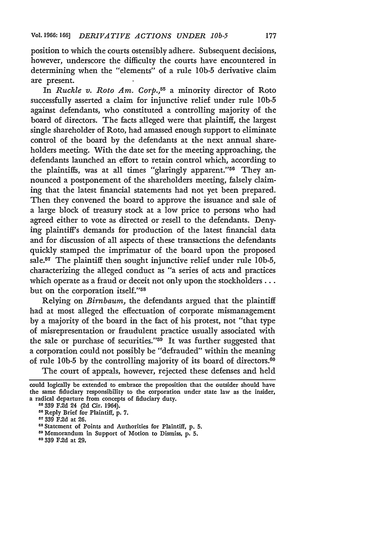position to which the courts ostensibly adhere. Subsequent decisions, however, underscore the difficulty the courts have encountered in determining when the "elements" of a rule lOb-5 derivative claim are present.

In *Ruckle v. Roto Am. Corp.,55* a minority director of Roto successfully asserted a claim for injunctive relief under rule **lOb-5** against defendants, who constituted a controlling majority of the board of directors. The facts alleged were that plaintiff, the largest single shareholder of Roto, had amassed enough support to eliminate control of the board by the defendants at the next annual shareholders meeting. With the date set for the meeting approaching, the defendants launched an effort to retain control which, according to the plaintiffs, was at all times "glaringly apparent."<sup>56</sup> They announced a postponement of the shareholders meeting, falsely claiming that the latest financial statements had not yet been prepared. Then they convened the board to approve the issuance and sale of a large block of treasury stock at a low price to persons who had agreed either to vote as directed or resell to the defendants. Denying plaintiff's demands for production of the latest financial data and for discussion of all aspects of these transactions the defendants quickly stamped the imprimatur of the board upon the proposed sale.<sup>57</sup> The plaintiff then sought injunctive relief under rule 10b-5, characterizing the alleged conduct as "a series of acts and practices which operate as a fraud or deceit not only upon the stockholders . . . but on the corporation itself."<sup>58</sup>

Relying on *Birnbaum,* the defendants argued that the plaintiff had at most alleged the effectuation of corporate mismanagement by a majority of the board in the fact of his protest, not "that type of misrepresentation or fraudulent practice usually associated with the sale or purchase of securities."<sup>59</sup> It was further suggested that a corporation could not possibly be "defrauded" within the meaning of rule **lOb-5** by the controlling majority of its board of directors.<sup>60</sup>

The court of appeals, however, rejected these defenses and held

**00** 359 F.2d at **29,**

could logically be extended to embrace the proposition that the outsider should have the same fiduciary responsibility to the corporation under state law as the insider, a radical departure from concepts of fiduciary duty.

**<sup>5 339</sup> F.2d** 24 **(2d** Cir. 1964).

**<sup>50</sup>**Reply Brief for Plaintiff, **p. 7.**

**<sup>11</sup> 339 F.2d** at **26.**

rs Statement of Points and Authorities for Plaintiff, p. **5.**

**<sup>11</sup>** Memorandum in Support of Motion to Dismiss, p. **5.**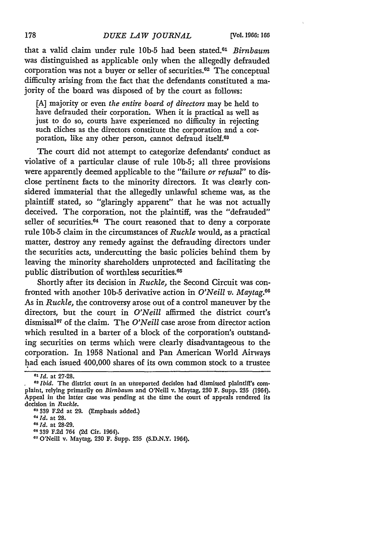that a valid claim under rule **lOb-5** had been stated.61 *Birnbaum* was distinguished as applicable only when the allegedly defrauded corporation was not a buyer or seller of securities. 62 The conceptual difficulty arising from the fact that the defendants constituted a majority of the board was disposed of by the court as follows:

[A] majority or even *the entire board of directors* may be held to have defrauded their corporation. When it is practical as well as just to do so, courts have experienced no difficulty in rejecting such cliches as the directors constitute the corporation and a corporation, like any other person, cannot defraud itself.<sup>03</sup>

The court did not attempt to categorize defendants' conduct as violative of a particular clause of rule lOb-5; all three provisions were apparently deemed applicable to the "failure *or refusal"* to disclose pertinent facts to the minority directors. It was clearly considered immaterial that the allegedly unlawful scheme was, as the plaintiff stated, so "glaringly apparent" that he was not actually deceived. The corporation, not the plaintiff, was the "defrauded" seller of securities. $64$  The court reasoned that to deny a corporate rule **lOb-5** claim in the circumstances of *Ruckle* would, as a practical matter, destroy any remedy against the defrauding directors under the securities acts, undercutting the basic policies behind them by leaving the minority shareholders unprotected and facilitating the public distribution of worthless securities.<sup>65</sup>

Shortly after its decision in *Ruckle,* the Second Circuit was confronted with another **lOb-5** derivative action in *O'Neill v. Maytag.60* As in *Ruckle,* the controversy arose out of a control maneuver by the directors, but the court in *O'Neill* affirmed the district court's dismissal<sup>67</sup> of the claim. The *O'Neill* case arose from director action which resulted in a barter of a block of the corporation's outstanding securities on terms which were clearly disadvantageous to the corporation. In 1958 National and Pan American World Airways had each issued 400,000 shares of its own common stock to a trustee

*<sup>01</sup>Id.* at 27-28.

*<sup>62</sup> Ibid.* The district court in an unreported decision had dismissed plaintiff's complaint, relying primarily on *Birnbaum* and O'Neill v. Maytag, **230** F. Supp. **235** (1964). Appeal in the latter case was pending at the time the court of appeals rendered its decision in *Ruckle.*

**<sup>63 39</sup>** F.2d at **29.** (Emphasis added.)

*e6 Id.* at 28.

<sup>&</sup>lt;sup>65</sup> *Id.* at 28-29.

**<sup>6&#</sup>x27; 339** F.2d 764 (2d Cir. 1964).

**<sup>17</sup>**O'Neill v. Maytag, **230** F. Supp. **235** (S.D.N.Y. 1964).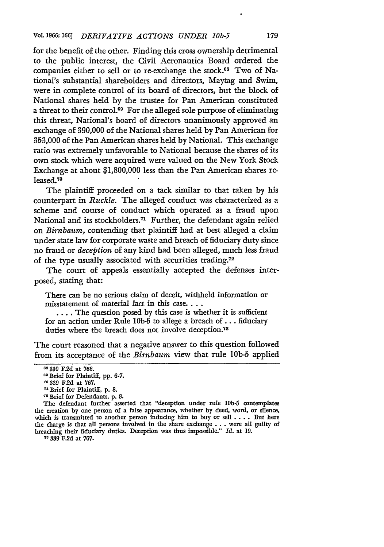for the benefit of the other. Finding this cross ownership detrimental to the public interest, the Civil Aeronautics Board ordered the companies either to sell or to re-exchange the stock.<sup>68</sup> Two of National's substantial shareholders and directors, Maytag and Swim, were in complete control of its board of directors, but the block of National shares held by the trustee for Pan American constituted a threat to their control.69 For the alleged sole purpose of eliminating this threat, National's board of directors unanimously approved an exchange of 390,000 of the National shares held by Pan American for **353,000** of the Pan American shares held by National. This exchange ratio was extremely unfavorable to National because the shares of its own stock which were acquired were valued on the New York Stock Exchange at about \$1,800,000 less than the Pan American shares released. <sup>70</sup>

The plaintiff proceeded on a tack similar to that taken by his counterpart in *Ruckle.* The alleged conduct was characterized as a scheme and course of conduct which operated as a fraud upon National and its stockholders.<sup>71</sup> Further, the defendant again relied on *Birnbaum,* contending that plaintiff had at best alleged a claim under state law for corporate waste and breach of fiduciary duty since no fraud or *deception* of any kind had been alleged, much less fraud of the type usually associated with securities trading.<sup>72</sup>

The court of appeals essentially accepted the defenses interposed, stating that:

There can be no serious claim of deceit, withheld information or misstatement of material fact in this case....

.... The question posed by this case is whether it is sufficient for an action under Rule **lOb-5** to allege a breach of... fiduciary duties where the breach does not involve deception.73

The court reasoned that a negative answer to this question followed from its acceptance of the *Birnbaum* view that rule **lOb-5** applied

The defendant further asserted that "deception under rule **lOb-5** contemplates the creation by one person of a false appearance, whether by deed, word, or silence, which is transmitted to another person inducing him to buy or sell .... But here the charge is that all persons involved in the share exchange **.** . **.** were all guilty of breaching their fiduciary duties. Deception was thus impossible." *Id.* at **19.**

**73 39 F.2d** at **767.**

**<sup>3&#</sup>x27; \$39 F.2d** at **766.**

Brief for Plaintiff, pp. 6-7.

**<sup>7</sup>o 339 F.2d** at 767.

**<sup>71</sup>**Brief for Plaintiff, p. 8. **<sup>7</sup> <sup>2</sup>**Brief for Defendants, p. 8.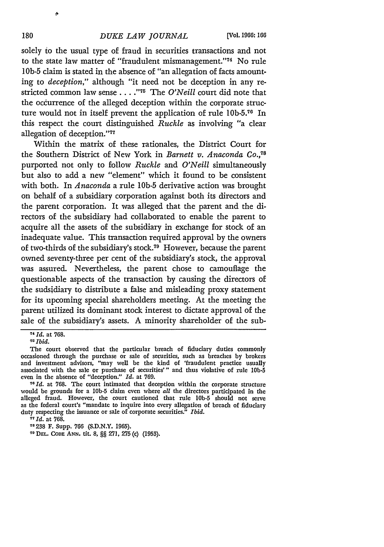solely to the usual type of fraud in securities transactions and not to the state law matter of "fraudulent mismanagement."<sup>74</sup> No rule **lOb-5** claim is stated in the absence of "an allegation of facts amounting to *deception,"* although "it need not be deception in any restricted common law sense . . . . "<sup>75</sup> The *O'Neill* court did note that the occurrence of the alleged deception within the corporate structure would not in itself prevent the application of rule 10b-5.<sup>76</sup> In this respect the court distinguished *Ruckle* as involving "a clear allegation of deception."<sup>77</sup>

Within the matrix of these rationales, the District Court for the Southern District of New York in *Barnett v. Anaconda Co.,7 <sup>8</sup>* purported not only to follow *Ruckle* and *O'Neill* simultaneously but also to add a new "element" which it found to be consistent with both. In *Anaconda* a rule **lOb-5** derivative action was brought on behalf of a subsidiary corporation against both its directors and the parent corporation. It was alleged that the parent and the directors of the subsidiary had collaborated to enable the parent to acquire all the assets of the subsidiary in exchange for stock of an inadequate value. This transaction required approval **by** the owners of two-thirds of the subsidiary's stock.79 However, because the parent owned seventy-three per cent of the subsidiary's stock, the approval was assured. Nevertheless, the parent chose to camouflage the questionable aspects of the transaction **by** causing the directors of the sudsidiary to distribute a false and misleading proxy statement for its upcoming special shareholders meeting. At the meeting the parent utilized its dominant stock interest to dictate approval of the sale of the subsidiary's assets. **A** minority shareholder of the sub-

*<sup>7&</sup>quot; Id.* at **768.**

**<sup>71</sup>***Ibid.*

The court observed that the particular breach of fiduciary duties commonly occasioned through the purchase or sale of securities, such as breaches **by** brokers and investment advisors, "may well be the kind of 'fraudulent practice usually associated with the sale or purchase of securities'" and thus violative of rule **l0b.5** even in the absence of "deception." *Id.* at **769.**

<sup>&</sup>lt;sup>76</sup> *Id.* at 768. The court intimated that deception within the corporate structure would be grounds for a **lOb-5** claim even where *all* the directors participated in the alleged fraud. However, the court cautioned that rule **lOb-5** should not serve as the federal court's "mandate to inquire into every allegation of breach of fiduciary duty respecting the issuance or sale of corporate securities." *Ibid.*

*<sup>77</sup> Id.* at **768.**

**I8 238** F. Supp. **766 (S.D.N.Y. 1965).**

**<sup>&#</sup>x27;I DEL. CODE ANN. tit. 8, §§ 271, 275** (c) **(1953).**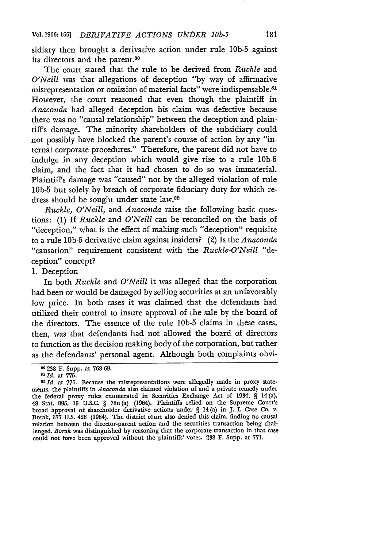sidiary then brought a derivative action under rule **1Ob-5** against its directors and the parent.<sup>80</sup>

The court stated that the rule to be derived from *Ruckle* and *O'Neill* was that allegations of deception **"by** way of affirmative misrepresentation or omission of material facts" were indispensable. 8' However, the court reasoned that even though the plaintiff in *Anaconda* had alleged deception his claim was defective because there was no "causal relationship" between the deception and plaintiff's damage. The minority shareholders of the subsidiary could not possibly have blocked the parent's course of action **by** any "internal corporate procedures." Therefore, the parent did not have to indulge in any deception which would give rise to a rule **lOb-5** claim, and the fact that it had chosen to do so was immaterial. Plaintiff's damage was "caused" not **by** the alleged violation of rule **1Ob-5** but solely **by** breach of corporate fiduciary duty for which redress should be sought under state law.<sup>82</sup>

*Ruckle, O'Neill,* and *Anaconda* raise the following basic questions: **(1)** If *Ruckle* and *O'Neill* can be reconciled on the basis of "deception," what is the effect of making such "deception" requisite to a rule **1Ob-5** derivative claim against insiders? (2) Is the *Anaconda* "causation" requirement consistent with the *Ruckle-O'Neill* "deception" concept?

#### **1.** Deception

In both *Ruckle* and *O'Neill* it was alleged that the corporation had been or would be damaged by selling securities at an unfavorably low price. In both cases it was claimed that the defendants had utilized their control to insure approval of the sale by the board of the directors. The essence of the rule **lOb-5** claims in these cases, then, was that defendants had not allowed the board of directors to function as the decision making body of the corporation, but rather as the defendants' personal agent. Although both complaints obvi-

<sup>&</sup>lt;sup>80</sup> 238 F. Supp. at 768-69.

**<sup>0 238</sup>** F. Supp. at **768-69.** *<sup>8</sup> <sup>1</sup>***Id.** at **775.** *<sup>82</sup> Id.* at 776. Because the misrepresentations were allegedly made in proxy statements, the plaintiffs in *Anaconda* also claimed violation of and a private remedy under the federal proxy rules enumerated in Securities Exchange Act of 1934, § 14(a), 48 Stat. 895, **15** U.S.C. § 78n (a) (1964). Plaintiffs relied on the Supreme Court's broad approval of shareholder derivative actions under § 14 (a) in **J.** L Case Co. v. Borak, 377 U.S. 426 (1964). The district court also denied this claim, finding no causal relation between the director-parent action and the securities transaction being challenged. *Borak* was distinguished by reasoning that the corporate transaction in that case could not have been approved without the plaintiffs' votes. **238** F. Supp. at 771.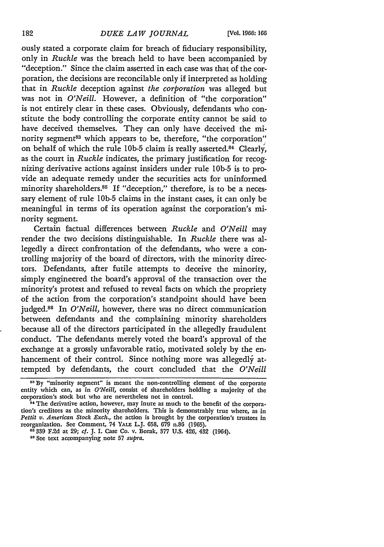ously stated a corporate claim for breach of fiduciary responsibility, only in *Ruckle* was the breach held to have been accompanied **by** "deception." Since the claim asserted in each case was that of the corporation, the decisions are reconcilable only if interpreted as holding that in *Ruckle* deception against *the corporation* was alleged but was not in *O'Neill.* However, a definition of "the corporation" is not entirely clear in these cases. Obviously, defendants who constitute the body controlling the corporate entity cannot be said to have deceived themselves. They can only have deceived the minority segment<sup>83</sup> which appears to be, therefore, "the corporation" on behalf of which the rule 10b-5 claim is really asserted.<sup>84</sup> Clearly, as the court in *Ruckle* indicates, the primary justification for recognizing derivative actions against insiders under rule **lOb-5** is to provide an adequate remedy under the securities acts for uninformed minority shareholders.<sup>85</sup> If "deception," therefore, is to be a necessary element of rule **1Ob-5** claims in the instant cases, it can only **be** meaningful in terms of its operation against the corporation's minority segment.

Certain factual differences between *Ruckle* and *O'Neill* may render the two decisions distinguishable. In *Ruckle* there was allegedly a direct confrontation of the defendants, who were a controlling majority of the board of directors, with the minority directors. Defendants, after futile attempts to deceive the minority, simply engineered the board's approval of the transaction over the minority's protest and refused to reveal facts on which the propriety of the action from the corporation's standpoint should have been judged.<sup>86</sup> In *O'Neill*, however, there was no direct communication between defendants and the complaining minority shareholders because all of the directors participated in the allegedly fraudulent conduct. The defendants merely voted the board's approval of the exchange at a grossly unfavorable ratio, motivated solely **by** the enhancement of their control. Since nothing more was allegedly attempted **by** defendants, the court concluded that the *O'Neill*

**<sup>83</sup> By** "minority segment" is meant the non-controlling element of the corporate entity which can, as in *O'Neill*, consist of shareholders holding a majority of the corporation's **stock** but who are nevertheless not in control.

**<sup>81</sup>The** derivative action, however, may inure as much to the benefit of the corpora. tion's creditors as the minority shareholders. This is demonstrably true where, as in *Pettit v. American Stock Exch.,* the action is brought **by** the corporation's trustees in reorganization. See Comment, 74 **YALE** L.J. **658, 679** n.86 **(1965).**

**<sup>85 339</sup> F.2d** at **29;** *cf.* **J.** I. Case Co. v. Borak, **377 U.S.** 426, 432 (1964).

**<sup>8&#</sup>x27;** See text accompanying note **57** *supra.*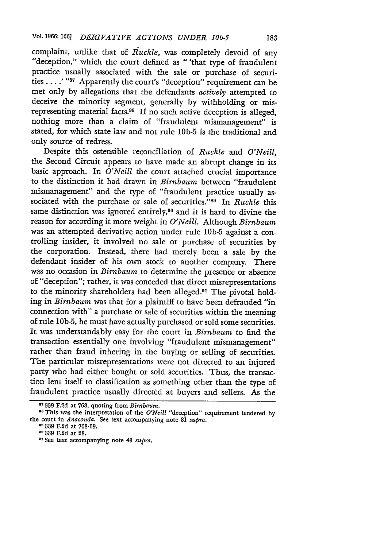complaint, unlike that of *Ruckle,* was completely devoid of any "deception," which the court defined as " 'that type of fraudulent practice usually associated with the sale or purchase of securities . . . .' "<sup>87</sup> Apparently the court's "deception" requirement can be met only **by** allegations that the defendants *actively* attempted to deceive the minority segment, generally **by** withholding or misrepresenting material facts.<sup>88</sup> If no such active deception is alleged, nothing more than a claim of "fraudulent mismanagement" is stated, for which state law and not rule **1Ob-5** is the traditional and only source of redress.

Despite this ostensible reconciliation of *Ruckle* and *O'Neill,* the Second Circuit appears to have made an abrupt change in its basic approach. In *O'Neill* the court attached crucial importance to the distinction it had drawn in *Birnbaum* between "fraudulent mismanagement" and the type of "fraudulent practice usually associated with the purchase or sale of securities."<sup>89</sup> In *Ruckle* this same distinction was ignored entirely,<sup>90</sup> and it is hard to divine the reason for according it more weight in *O'Neill.* Although *Birnbaum* was an attempted derivative action under rule **1Ob-5** against a controlling insider, it involved no sale or purchase of securities **by** the corporation. Instead, there had merely been a sale **by** the defendant insider of his own stock to another company. There was no occasion in *Birnbaum* to determine the presence or absence of "deception"; rather, it was conceded that direct misrepresentations to the minority shareholders had been alleged.<sup>91</sup> The pivotal holding in *Birnbaum* was that for a plaintiff to have been defrauded "in connection with" a purchase or sale of securities within the meaning of rule **IOb-5,** he must have actually purchased or sold some securities. It was understandably easy for the court in *Birnbaum* to find the transaction essentially one involving "fraudulent mismanagement" rather than fraud inhering in the buying or selling of securities. The particular misrepresentations were not directed to an injured party who had either bought or sold securities. Thus, the transaction lent itself to classification as something other than the type of fraudulent practice usually directed at buyers and sellers. As the

<sup>87 339</sup> F.2d at 768, quoting from *Birnbaum*.<br><sup>88</sup> This was the interpretation of the *O'Neill* "deception" requirement tendered by the court in *Anaconda.* See text accompanying note 81 *supra.*

**<sup>80</sup>**339 F.2d at 768-69.

**<sup>90 339</sup> F.2d** at 28.

**<sup>91</sup>** See text accompanying note 43 *supra.*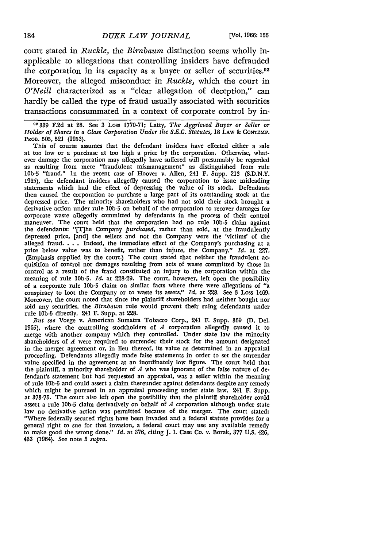court stated in *Ruckle,* the *Birnbaum* distinction seems wholly inapplicable to allegations that controlling insiders have defrauded the corporation in its capacity as a buyer or seller of securities.<sup>02</sup> Moreover, the alleged misconduct in *Ruckle,* which the court in *O'Neill* characterized as a "clear allegation of deception," can hardly be called the type of fraud usually associated with securities transactions consummated in a context of corporate control **by** in-

**9-2339 F.2d** at **28.** See 3 Loss **1770-71;** Latty, *The Aggrieved Buyer or Seller or Holder of Shares in a Close Corporation Under the S.E.C. Statutes,* **18 LAw & CONTEMP. PROB. 505, 521** (1953).

This of course assumes that the defendant insiders have effected either a sale at too low or a purchase at too high a price **by** the corporation. Otherwise, whatever damage the corporation may allegedly have suffered will presumably be regarded as resulting from mere "fraudulent mismanagement" as distinguished from rule **lOb-5** "fraud." In the recent case of Hoover v. Allen, 241 F. Supp. **213 (S.D.N.Y. 1965),** the defendant insiders allegedly caused the corporation to issue misleading statements which had the effect of depressing the value of its stock. Defendants then caused the corporation to purchase a large part of its outstanding stock at the depressed price. The minority shareholders who had not sold their stock brought a derivative action under rule **lOb-5** on behalf of the corporation to recover damages for corporate waste allegedly committed **by** defendants in the process of their control maneuver. The court held that the corporation had no rule **lob-5** claim against the defendants: **"[T]he** Company *purchased,* rather than sold, at the fraudulently depressed price, [and] the sellers and not the Company were the 'victims' of the alleged fraud. . . Indeed, the immediate effect of the Company's purchasing at a price below value was to benefit, rather than injure, the Company." *Id.* at **227.** (Emphasis supplied **by** the court.) The court stated that neither the fraudulent acquisition of control nor damages resulting from acts of waste committed **by** those in control as a result of the fraud constituted an injury to the corporation within the meaning of rule **lOb-5.** *Id.* at **228-29.** The court, however, left open the possibility of a corporate rule **lOb-5** claim on similar facts where there were allegations of "a conspiracy to loot the Company or to waste its assets." *Id.* at 228. See **3** Loss 1469. Moreover, the court noted that since the plaintiff shareholders had neither bought nor sold any securities, the *Birnbaum* rule would prevent their suing defendants under rule **lOb-5** directly. 241 F. Supp. at **228.**

*But see* Voege v. American Sumatra Tobacco Corp., 241 F. Supp. **369 (D. Del.** 1965), where the controlling stockholders of *A* corporation allegedly caused it to merge with another company which they controlled. Under state **law** the minority shareholders of *A* were required to surrender their stock for the amount designated in the merger agreement or, in lieu thereof, its value as determined in an appraisal proceeding. Defendants allegedly made false statements in order to set the surrender value specified in the agreement at an inordinately low figure. The court **held** that the plaintiff, a minority shareholder of *A* who was ignorant of the false nature of **de**fendant's statement but had requested an appraisal, was a seller within the meaning of rule **lOb-5** and could assert a claim thereunder against defendants despite any remedy which might be pursued in an appraisal proceeding under state law. 241 F. Supp. at **373-75.** The court also left open the possibility that the plaintiff shareholder could assert a rule **lOb-5** claim derivatively on behalf of *A* corporation although under state law no derivative action was permitted because of the merger. The court stated: "Where federally secured rights have been invaded and a federal statute provides for a general right to sue for that invasion, a federal court may use any available remedy to make good the wrong done." *Id.* at **376,** citing **J. I.** Case Co. v. Borak, **377 U.S.** 426, 433 (1964). See note **5** *supra.*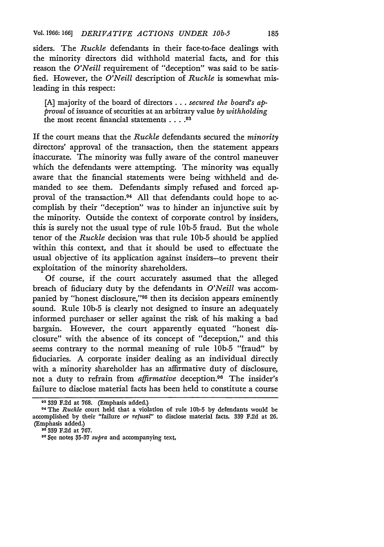siders. The *Ruckle* defendants in their face-to-face dealings with the minority directors did withhold material facts, and for this reason the *O'Neill* requirement of "deception" was said to be satisfied. However, the *O'Neill* description of *Ruckle* is somewhat misleading in this respect:

[A] majority of the board of directors .**..** *secured the board's approval* of issuance of securities at an arbitrary value *by withholding* the most recent financial statements **.... <sup>93</sup>**

If the court means that the *Ruckle* defendants secured the *minority* directors' approval of the transaction, then the statement appears inaccurate. The minority was fully aware of the control maneuver which the defendants were attempting. The minority was equally aware that the financial statements were being withheld and demanded to see them. Defendants simply refused and forced approval of the transaction.94 All that defendants could hope to accomplish by their "deception" was to hinder an injunctive suit by the minority. Outside the context of corporate control by insiders, this is surely not the usual type of rule **1Ob-5** fraud. But the whole tenor of the *Ruckle* decision was that rule **lOb-5** should be applied within this context, and that it should be used to effectuate the usual objective of its application against insiders-to prevent their exploitation of the minority shareholders.

Of course, if the court accurately assumed that the alleged breach of fiduciary duty by the defendants in *O'Neill* was accompanied by "honest disclosure,"<sup>95</sup> then its decision appears eminently sound. Rule **1Ob-5** is clearly not designed to insure an adequately informed purchaser or seller against the risk of his making a bad bargain. However, the court apparently equated "honest disclosure" with the absence of its concept of "deception," and this seems contrary to the normal meaning of rule **lOb-5** "fraud" by fiduciaries. A corporate insider dealing as an individual directly with a minority shareholder has an affirmative duty of disclosure, not a duty to refrain from *affirmative* deception.<sup>96</sup> The insider's failure to disclose material facts has been held to constitute a course

**<sup>89</sup> F.2d** at **768.** (Emphasis added.)

**o' The** *Ruckle* **court** held that a violation **of rule lOb-5 by defendants would** be accomplished **by** their "failure *or refusal"* **to** disclose material facts. **339 F.2d** at **26.** (Emphasis **added.)**

**<sup>05 339</sup> F.2d** at **767.**

<sup>&</sup>lt;sup>96</sup> See notes 35-37 *supra* and accompanying text,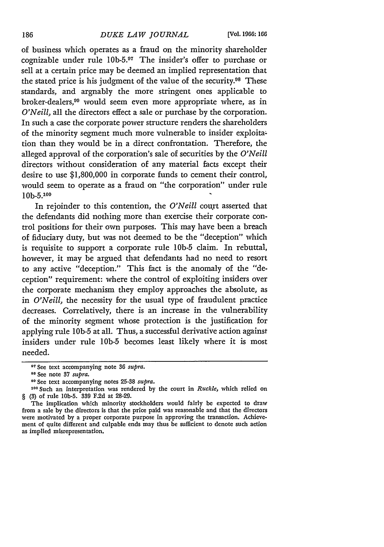of business which operates as a fraud on the minority shareholder cognizable under rule 10b-5.97 The insider's offer to purchase or sell at a certain price may be deemed an implied representation that the stated price is his judgment of the value of the security.<sup>08</sup> These standards, and argnably the more stringent ones applicable to broker-dealers,<sup>99</sup> would seem even more appropriate where, as in *O'Neill,* all the directors effect a sale or purchase by the corporation. In such a case the corporate power structure renders the shareholders of the minority segment much more vulnerable to insider exploitation than they would be in a direct confrontation. Therefore, the alleged approval of the corporation's sale of securities by the *O'Neill* directors without consideration of any material facts except their desire to use \$1,800,000 in corporate funds to cement their control, would seem to operate as a fraud on "the corporation" under rule **lOb-5. <sup>100</sup>**

In rejoinder to this contention, the *O'Neill* court asserted that the defendants did nothing more than exercise their corporate control positions for their own purposes. This may have been a breach of fiduciary duty, but was not deemed to be the "deception" which is requisite to support a corporate rule 1Ob-5 claim. In rebuttal, however, it may be argued that defendants had no need to resort to any active "deception." This fact is the anomaly of the "deception" requirement: where the control of exploiting insiders over the corporate mechanism they employ approaches the absolute, as in *O'Neill,* the necessity for the usual type of fraudulent practice decreases. Correlatively, there is an increase in the vulnerability of the minority segment whose protection is the justification for applying rule 10b-5 at all. Thus, a successful derivative action against insiders under rule 1Ob-5 becomes least likely where it is most needed.

<sup>9</sup> See text accompanying note **36** *supra.*

**<sup>98</sup>See** note **37** *supra.*

**<sup>11</sup>** See text accompanying notes **25-38** *supra.*

**<sup>100</sup>**Such an interpretation was rendered **by** the court in *Ruckle,* which relied on § (3) of rule **lOb-5. 339 F.2d** at **28-29.**

The implication which minority stockholders would fairly be expected to draw from a sale **by** the directors is that the price paid was reasonable and that the directors were motivated **by** a proper corporate purpose in approving the transaction. Achievement of quite different and culpable ends may thus be sufficient to denote such action as implied misrepresentation.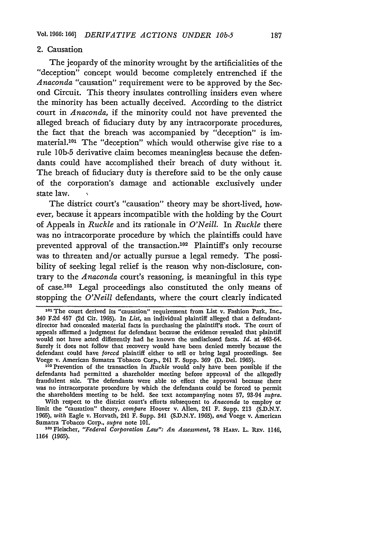#### 2. Causation

The jeopardy of the minority wrought by the artificialities of the "deception" concept would become completely entrenched if the *Anaconda* "causation" requirement were to be approved by the Second Circuit. This theory insulates controlling insiders even where the minority has been actually deceived. According to the district court in *Anaconda,* if the minority could not have prevented the alleged breach of fiduciary duty by any intracorporate procedures, the fact that the breach was accompanied by "deception" is immaterial.<sup>101</sup> The "deception" which would otherwise give rise to a rule **lOb-5** derivative claim becomes meaningless because the defendants could have accomplished their breach of duty without it. The breach of fiduciary duty is therefore said to be the only cause of the corporation's damage and actionable exclusively under state law.

The district court's "causation" theory may be short-lived, however, because it appears incompatible with the holding by the Court of Appeals in *Ruckle* and its rationale in *O'Neill.* In *Ruckle* there was no intracorporate procedure by which the plaintiffs could have prevented approval of the transaction.102 Plaintiff's only recourse was to threaten and/or actually pursue a legal remedy. The possibility of seeking legal relief is the reason why non-disclosure, contrary to the *Anaconda* court's reasoning, is meaningful in this type of case.103 Legal proceedings also constituted the only means of stopping the *O'Neill* defendants, where the court clearly indicated

defendants had permitted a shareholder meeting before approval of the allegedly fraudulent sale. The defendants were able to effect the approval because there was no intracorporate procedure **by** which the defendants could be forced to permit the shareholders meeting to be held. See text accompanying notes 57, 93-94 *supra.*

With respect to the district court's efforts subsequent to *Anaconda* to employ or limit the "causation" theory, *compare* Hoover v. Allen, 241 F. Supp. **213** (S.D.N.Y. 1965), *with* Eagle v. Horvath, 241 F. Supp. 341 (S.D.N.Y. 1965), *and* Voege v. American Sumatra Tobacco Corp., *supra* note 101.

**<sup>103</sup>**Fleischer, *"Federal Corporation Law": An Assessment,* **78** HARv. **L.** REV. 1146, 1164 **(1965).**

**<sup>101</sup>**The court derived its "causation" requirement from List v. Fashion Park, Inc., 340 **F.2d** 457 (2d Cir. 1965). In *List,* an individual plaintiff alleged that a defendantdirector had concealed material facts in purchasing the plaintiff's stock. The court of appeals affirmed a judgment for defendant because the evidence revealed that plaintiff would not have acted differently had he known the undisclosed facts. *Id.* at 463-64. Surely it does not follow that recovery would have been denied merely because the defendant could have *forced* plaintiff either to sell or bring legal proceedings. See Voege v. American Sumatra Tobacco Corp., 241 F. Supp. 369 (D. Del. 1965). 102 Prevention of the transaction in *Ruckle* would only have been possible if the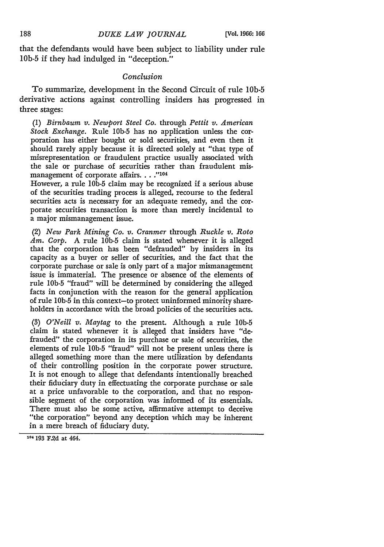that the defendants would have been subject to liability under rule **lOb-5** if they had indulged in "deception."

### *Conclusion*

To summarize, development in the Second Circuit of rule 1Ob-5 derivative actions against controlling insiders has progressed in three stages:

(1) *Birnbaum v. Newport Steel Co.* through *Pettit v. American Stock Exchange.* Rule 1Ob-5 has no application unless the corporation has either bought or sold securities, and even then it should rarely apply because it is directed solely at "that type of misrepresentation or fraudulent practice usually associated with the sale or purchase of securities rather than fraudulent mismanagement of corporate affairs. . . . "104

However, a rule **lOb-5** claim may be recognized if a serious abuse of the securities trading process is alleged, recourse to the federal securities acts is necessary for an adequate remedy, and the corporate securities transaction is more than merely incidental to a major mismanagement issue.

(2) *New Park Mining Co. v. Cranmer* through *Ruckle v. Roto Am. Corp.* A rule **lOb-5** claim is stated whenever it is alleged that the corporation has been "defrauded" by insiders in its capacity as a buyer or seller of securities, and the fact that the corporate purchase or sale is only part of a major mismanagement issue is immaterial. The presence or absence of the elements of rule **lOb-5** "fraud" will be determined by considering the alleged facts in conjunction with the reason for the general application of rule **lOb-5** in this context-to protect uninformed minority shareholders in accordance with the broad policies of the securities acts.

(3) *O'Neill v. Maytag* to the present. Although a rule **lOb-5** claim is stated whenever it is alleged that insiders have "defrauded" the corporation in its purchase or sale of securities, the elements of rule **lOb-5** "fraud" will not be present unless there is alleged something more than the mere utilization by defendants of their controlling position in the corporate power structure. It is not enough to allege that defendants intentionally breached their fiduciary duty in effectuating the corporate purchase or sale at a price unfavorable to the corporation, and that no responsible segment of the corporation was informed of its essentials. There must also be some active, affirmative attempt to deceive "the corporation" beyond any deception which may be inherent in a mere breach of fiduciary duty.

**<sup>104</sup>**193 F.2d **at** 464.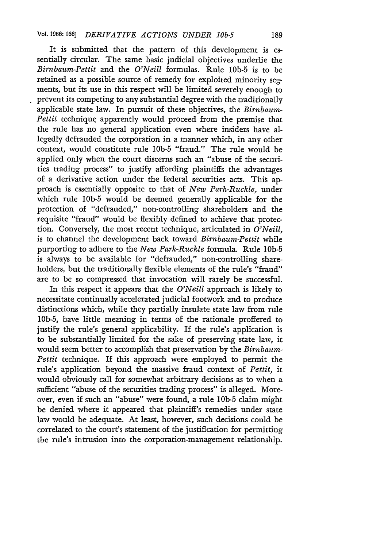It is submitted that the pattern of this development is essentially circular. The same basic judicial objectives underlie the *Birnbaum-Pettit* and the *O'Neill* formulas. Rule **lOb-5** is to be retained as a possible source of remedy for exploited minority segments, but its use in this respect will be limited severely enough to prevent its competing to any substantial degree with the traditionally applicable state law. In pursuit of these objectives, the *Birnbaum-Pettit* technique apparently would proceed from the premise that the rule has no general application even where insiders have allegedly defrauded the corporation in a manner which, in any other context, would constitute rule **lOb-5** "fraud." The rule would be applied only when the court discerns such an "abuse of the securities trading process" to justify affording plaintiffs the advantages of a derivative action under the federal securities acts. This approach is essentially opposite to that of *New Park-Ruckle,* under which rule **lOb-5** would be deemed generally applicable for the protection of "defrauded," non-controlling shareholders and the requisite "fraud" would be flexibly defined to achieve that protection. Conversely, the most recent technique, articulated in *O'Neill,* is to channel the development back toward *Birnbaum-Pettit* while purporting to adhere to the *New Park-Ruckle* formula. Rule **lOb-5** is always to be available for "defrauded," non-controlling shareholders, but the traditionally flexible elements of the rule's "fraud" are to be so compressed that invocation will rarely be successful.

In this respect it appears that the *O'Neill* approach is likely to necessitate continually accelerated judicial footwork and to produce distinctions which, while they partially insulate state law from rule 1Ob-5, have little meaning in terms of the rationale proffered to justify the rule's general applicability. If the rule's application is to be substantially limited for the sake of preserving state law, it would seem better to accomplish that preservation by the *Birnbaum-Pettit* technique. If this approach were employed to permit the rule's application beyond the massive fraud context of *Pettit,* it would obviously call for somewhat arbitrary decisions as to when a sufficient "abuse of the securities trading process" is alleged. Moreover, even if such an "abuse" were found, a rule **lOb-5** claim might be denied where it appeared that plaintiff's remedies under state law would be adequate. At least, however, such decisions could be correlated to the court's statement of the justification for permitting the rule's intrusion into the corporation-management relationship.